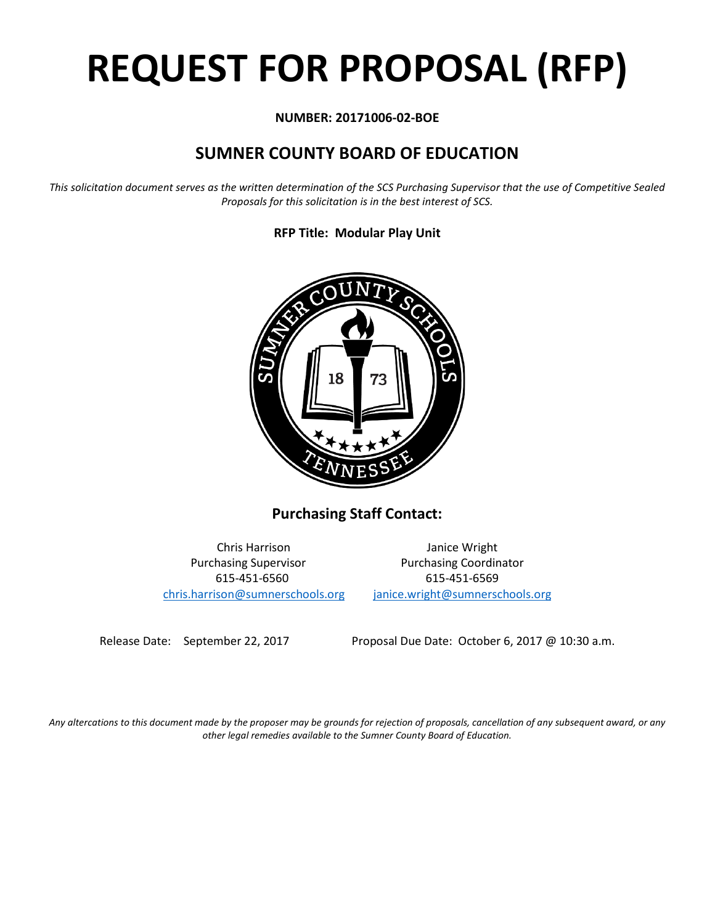# **REQUEST FOR PROPOSAL (RFP)**

#### **NUMBER: 20171006-02-BOE**

## **SUMNER COUNTY BOARD OF EDUCATION**

*This solicitation document serves as the written determination of the SCS Purchasing Supervisor that the use of Competitive Sealed Proposals for this solicitation is in the best interest of SCS.*

**RFP Title: Modular Play Unit**



**Purchasing Staff Contact:**

[chris.harrison@sumnerschools.org](mailto:chris.harrison@sumnerschools.org) [janice.wright@sumnerschools.org](mailto:janice.wright@sumnerschools.org)

Chris Harrison Janice Wright Purchasing Supervisor **Purchasing Coordinator** 615-451-6560 615-451-6569

Release Date: September 22, 2017 Proposal Due Date: October 6, 2017 @ 10:30 a.m.

*Any altercations to this document made by the proposer may be grounds for rejection of proposals, cancellation of any subsequent award, or any other legal remedies available to the Sumner County Board of Education.*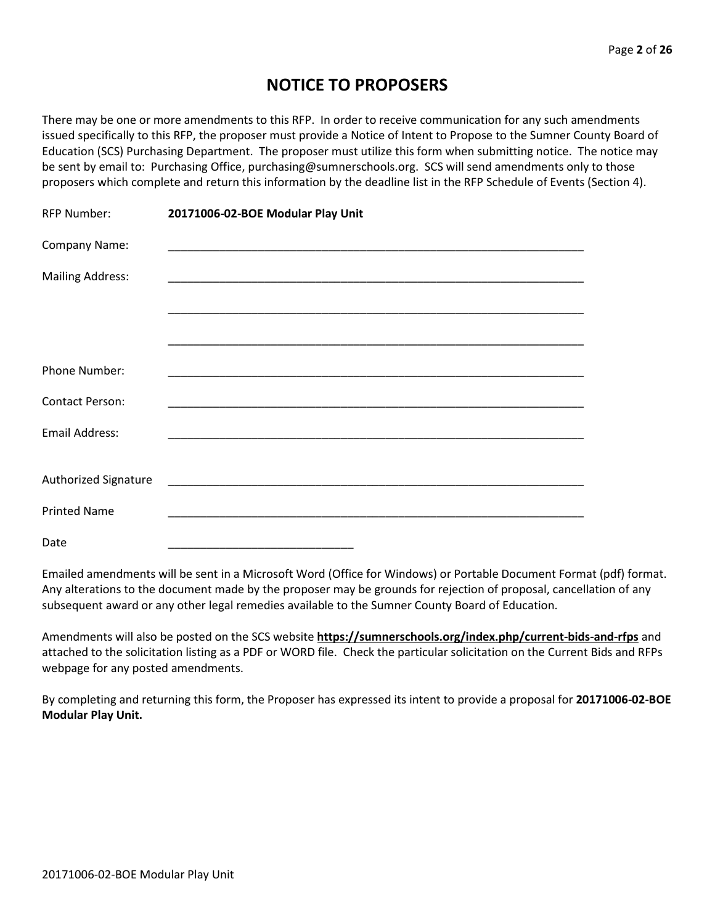## **NOTICE TO PROPOSERS**

There may be one or more amendments to this RFP. In order to receive communication for any such amendments issued specifically to this RFP, the proposer must provide a Notice of Intent to Propose to the Sumner County Board of Education (SCS) Purchasing Department. The proposer must utilize this form when submitting notice. The notice may be sent by email to: Purchasing Office, purchasing@sumnerschools.org. SCS will send amendments only to those proposers which complete and return this information by the deadline list in the RFP Schedule of Events (Section 4).

| <b>RFP Number:</b>      | 20171006-02-BOE Modular Play Unit                                                                                    |
|-------------------------|----------------------------------------------------------------------------------------------------------------------|
| Company Name:           |                                                                                                                      |
| <b>Mailing Address:</b> |                                                                                                                      |
|                         |                                                                                                                      |
|                         |                                                                                                                      |
| <b>Phone Number:</b>    |                                                                                                                      |
| <b>Contact Person:</b>  |                                                                                                                      |
| <b>Email Address:</b>   |                                                                                                                      |
|                         |                                                                                                                      |
| Authorized Signature    | <u> 1989 - Johann John Harry, mars eta bat eta bat eta bat eta bat eta bat eta bat eta bat eta bat eta bat eta b</u> |
| <b>Printed Name</b>     |                                                                                                                      |
| Date                    |                                                                                                                      |

Emailed amendments will be sent in a Microsoft Word (Office for Windows) or Portable Document Format (pdf) format. Any alterations to the document made by the proposer may be grounds for rejection of proposal, cancellation of any subsequent award or any other legal remedies available to the Sumner County Board of Education.

Amendments will also be posted on the SCS website **https://sumnerschools.org/index.php/current-bids-and-rfps** and attached to the solicitation listing as a PDF or WORD file. Check the particular solicitation on the Current Bids and RFPs webpage for any posted amendments.

By completing and returning this form, the Proposer has expressed its intent to provide a proposal for **20171006-02-BOE Modular Play Unit.**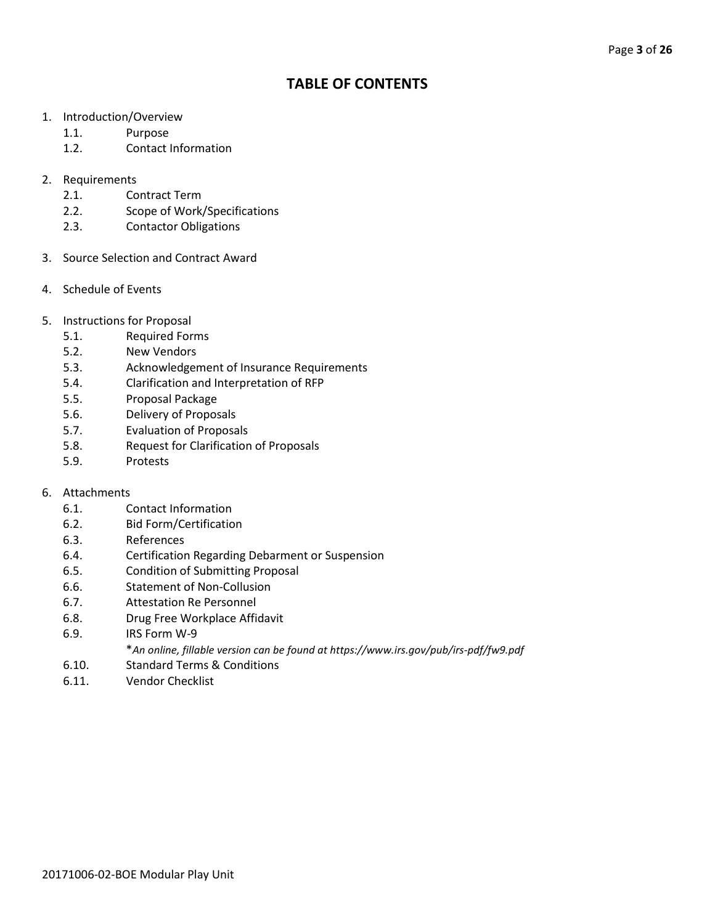### **TABLE OF CONTENTS**

- 1. Introduction/Overview
	- 1.1. Purpose
	- 1.2. Contact Information
- 2. Requirements
	- 2.1. Contract Term
	- 2.2. Scope of Work/Specifications
	- 2.3. Contactor Obligations
- 3. Source Selection and Contract Award
- 4. Schedule of Events
- 5. Instructions for Proposal
	- 5.1. Required Forms
	- 5.2. New Vendors
	- 5.3. Acknowledgement of Insurance Requirements
	- 5.4. Clarification and Interpretation of RFP
	- 5.5. Proposal Package
	- 5.6. Delivery of Proposals
	- 5.7. Evaluation of Proposals
	- 5.8. Request for Clarification of Proposals
	- 5.9. Protests

#### 6. Attachments

- 6.1. Contact Information
- 6.2. Bid Form/Certification
- 6.3. References
- 6.4. Certification Regarding Debarment or Suspension
- 6.5. Condition of Submitting Proposal
- 6.6. Statement of Non-Collusion
- 6.7. Attestation Re Personnel
- 6.8. Drug Free Workplace Affidavit
- 6.9. IRS Form W-9
	- \**An online, fillable version can be found at https://www.irs.gov/pub/irs-pdf/fw9.pdf*
- 6.10. Standard Terms & Conditions
- 6.11. Vendor Checklist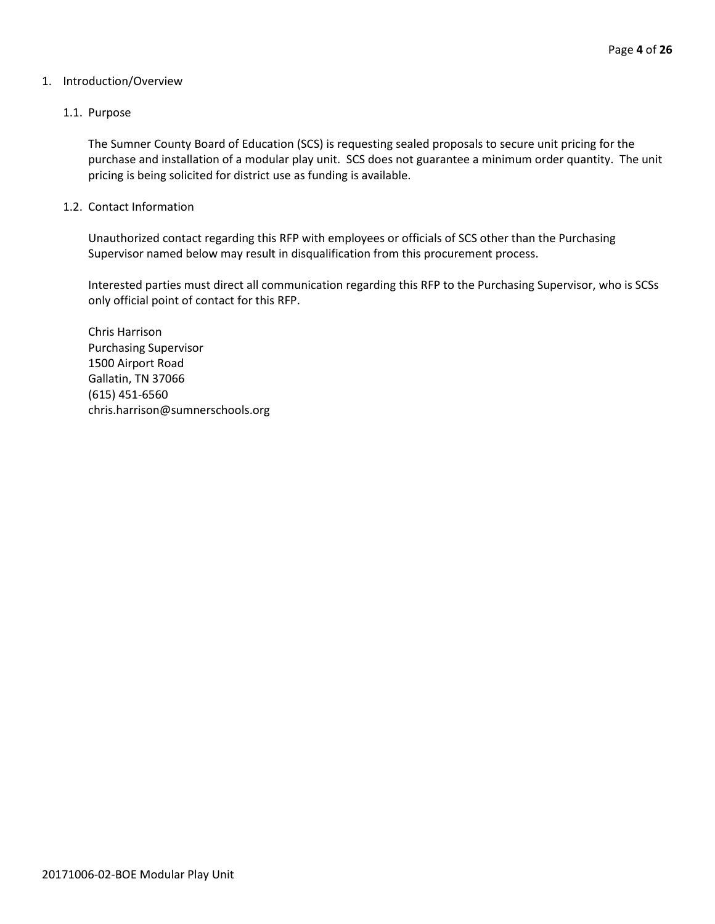#### 1. Introduction/Overview

#### 1.1. Purpose

The Sumner County Board of Education (SCS) is requesting sealed proposals to secure unit pricing for the purchase and installation of a modular play unit. SCS does not guarantee a minimum order quantity. The unit pricing is being solicited for district use as funding is available.

#### 1.2. Contact Information

Unauthorized contact regarding this RFP with employees or officials of SCS other than the Purchasing Supervisor named below may result in disqualification from this procurement process.

Interested parties must direct all communication regarding this RFP to the Purchasing Supervisor, who is SCSs only official point of contact for this RFP.

Chris Harrison Purchasing Supervisor 1500 Airport Road Gallatin, TN 37066 (615) 451-6560 chris.harrison@sumnerschools.org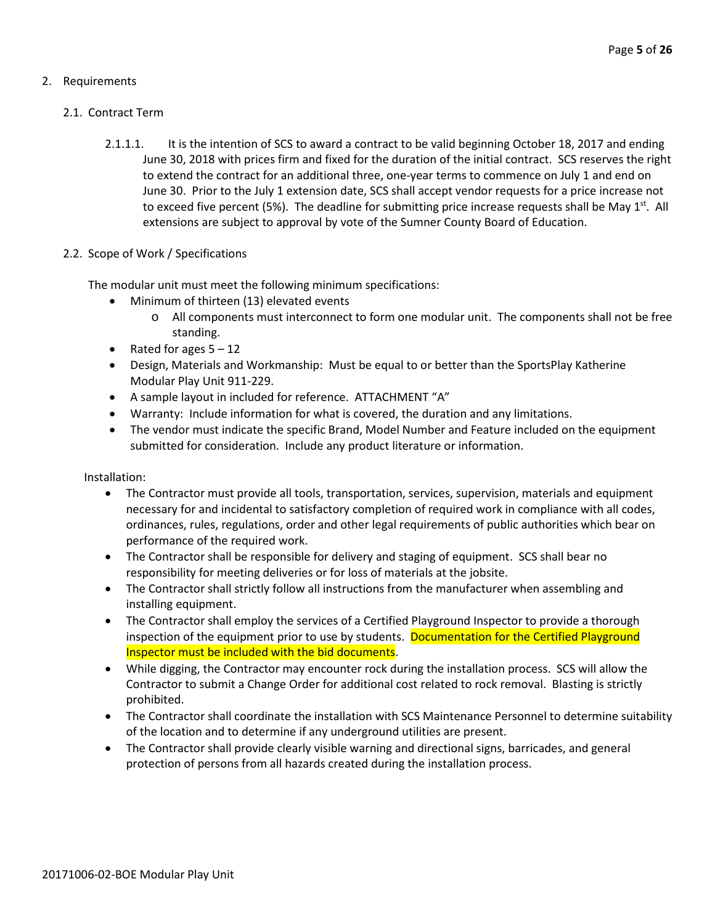#### 2. Requirements

#### 2.1. Contract Term

2.1.1.1. It is the intention of SCS to award a contract to be valid beginning October 18, 2017 and ending June 30, 2018 with prices firm and fixed for the duration of the initial contract. SCS reserves the right to extend the contract for an additional three, one-year terms to commence on July 1 and end on June 30. Prior to the July 1 extension date, SCS shall accept vendor requests for a price increase not to exceed five percent (5%). The deadline for submitting price increase requests shall be May  $1^{st}$ . All extensions are subject to approval by vote of the Sumner County Board of Education.

#### 2.2. Scope of Work / Specifications

The modular unit must meet the following minimum specifications:

- Minimum of thirteen (13) elevated events
	- $\circ$  All components must interconnect to form one modular unit. The components shall not be free standing.
- Rated for ages  $5 12$
- Design, Materials and Workmanship: Must be equal to or better than the SportsPlay Katherine Modular Play Unit 911-229.
- A sample layout in included for reference. ATTACHMENT "A"
- Warranty: Include information for what is covered, the duration and any limitations.
- The vendor must indicate the specific Brand, Model Number and Feature included on the equipment submitted for consideration. Include any product literature or information.

Installation:

- The Contractor must provide all tools, transportation, services, supervision, materials and equipment necessary for and incidental to satisfactory completion of required work in compliance with all codes, ordinances, rules, regulations, order and other legal requirements of public authorities which bear on performance of the required work.
- The Contractor shall be responsible for delivery and staging of equipment. SCS shall bear no responsibility for meeting deliveries or for loss of materials at the jobsite.
- The Contractor shall strictly follow all instructions from the manufacturer when assembling and installing equipment.
- The Contractor shall employ the services of a Certified Playground Inspector to provide a thorough inspection of the equipment prior to use by students. Documentation for the Certified Playground Inspector must be included with the bid documents.
- While digging, the Contractor may encounter rock during the installation process. SCS will allow the Contractor to submit a Change Order for additional cost related to rock removal. Blasting is strictly prohibited.
- The Contractor shall coordinate the installation with SCS Maintenance Personnel to determine suitability of the location and to determine if any underground utilities are present.
- The Contractor shall provide clearly visible warning and directional signs, barricades, and general protection of persons from all hazards created during the installation process.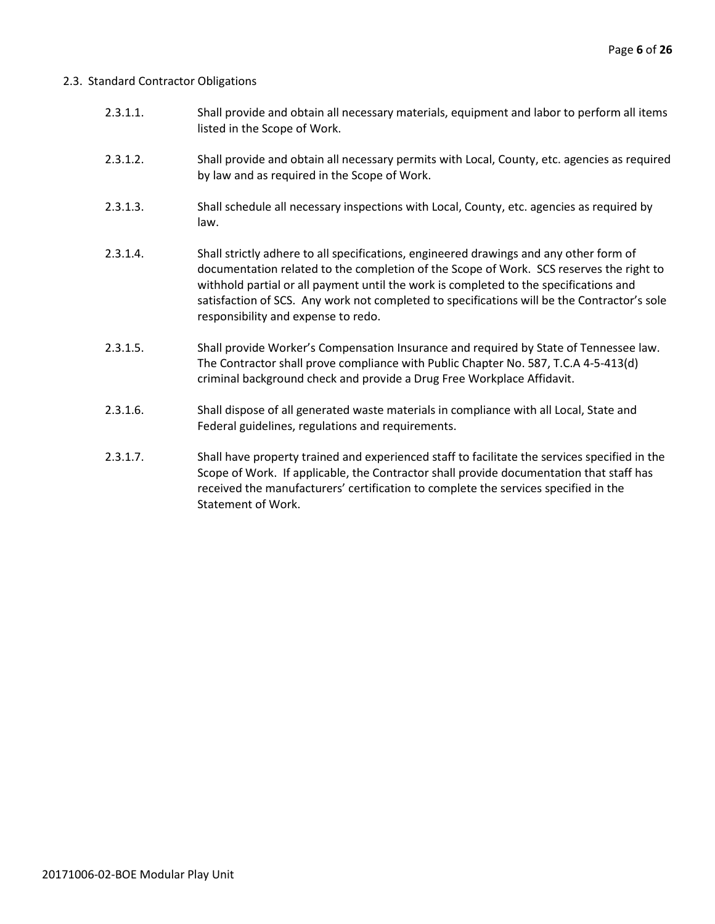#### 2.3. Standard Contractor Obligations

- 2.3.1.1. Shall provide and obtain all necessary materials, equipment and labor to perform all items listed in the Scope of Work.
- 2.3.1.2. Shall provide and obtain all necessary permits with Local, County, etc. agencies as required by law and as required in the Scope of Work.
- 2.3.1.3. Shall schedule all necessary inspections with Local, County, etc. agencies as required by law.
- 2.3.1.4. Shall strictly adhere to all specifications, engineered drawings and any other form of documentation related to the completion of the Scope of Work. SCS reserves the right to withhold partial or all payment until the work is completed to the specifications and satisfaction of SCS. Any work not completed to specifications will be the Contractor's sole responsibility and expense to redo.
- 2.3.1.5. Shall provide Worker's Compensation Insurance and required by State of Tennessee law. The Contractor shall prove compliance with Public Chapter No. 587, T.C.A 4-5-413(d) criminal background check and provide a Drug Free Workplace Affidavit.
- 2.3.1.6. Shall dispose of all generated waste materials in compliance with all Local, State and Federal guidelines, regulations and requirements.
- 2.3.1.7. Shall have property trained and experienced staff to facilitate the services specified in the Scope of Work. If applicable, the Contractor shall provide documentation that staff has received the manufacturers' certification to complete the services specified in the Statement of Work.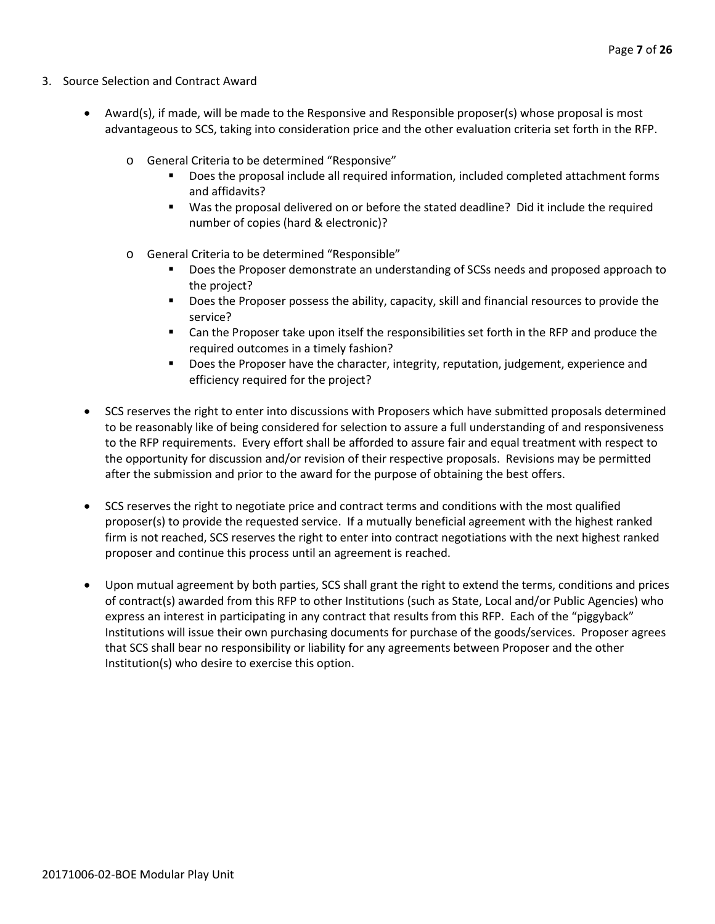- 3. Source Selection and Contract Award
	- Award(s), if made, will be made to the Responsive and Responsible proposer(s) whose proposal is most advantageous to SCS, taking into consideration price and the other evaluation criteria set forth in the RFP.
		- o General Criteria to be determined "Responsive"
			- Does the proposal include all required information, included completed attachment forms and affidavits?
			- Was the proposal delivered on or before the stated deadline? Did it include the required number of copies (hard & electronic)?
		- o General Criteria to be determined "Responsible"
			- Does the Proposer demonstrate an understanding of SCSs needs and proposed approach to the project?
			- **Does the Proposer possess the ability, capacity, skill and financial resources to provide the** service?
			- Can the Proposer take upon itself the responsibilities set forth in the RFP and produce the required outcomes in a timely fashion?
			- **Does the Proposer have the character, integrity, reputation, judgement, experience and** efficiency required for the project?
	- SCS reserves the right to enter into discussions with Proposers which have submitted proposals determined to be reasonably like of being considered for selection to assure a full understanding of and responsiveness to the RFP requirements. Every effort shall be afforded to assure fair and equal treatment with respect to the opportunity for discussion and/or revision of their respective proposals. Revisions may be permitted after the submission and prior to the award for the purpose of obtaining the best offers.
	- SCS reserves the right to negotiate price and contract terms and conditions with the most qualified proposer(s) to provide the requested service. If a mutually beneficial agreement with the highest ranked firm is not reached, SCS reserves the right to enter into contract negotiations with the next highest ranked proposer and continue this process until an agreement is reached.
	- Upon mutual agreement by both parties, SCS shall grant the right to extend the terms, conditions and prices of contract(s) awarded from this RFP to other Institutions (such as State, Local and/or Public Agencies) who express an interest in participating in any contract that results from this RFP. Each of the "piggyback" Institutions will issue their own purchasing documents for purchase of the goods/services. Proposer agrees that SCS shall bear no responsibility or liability for any agreements between Proposer and the other Institution(s) who desire to exercise this option.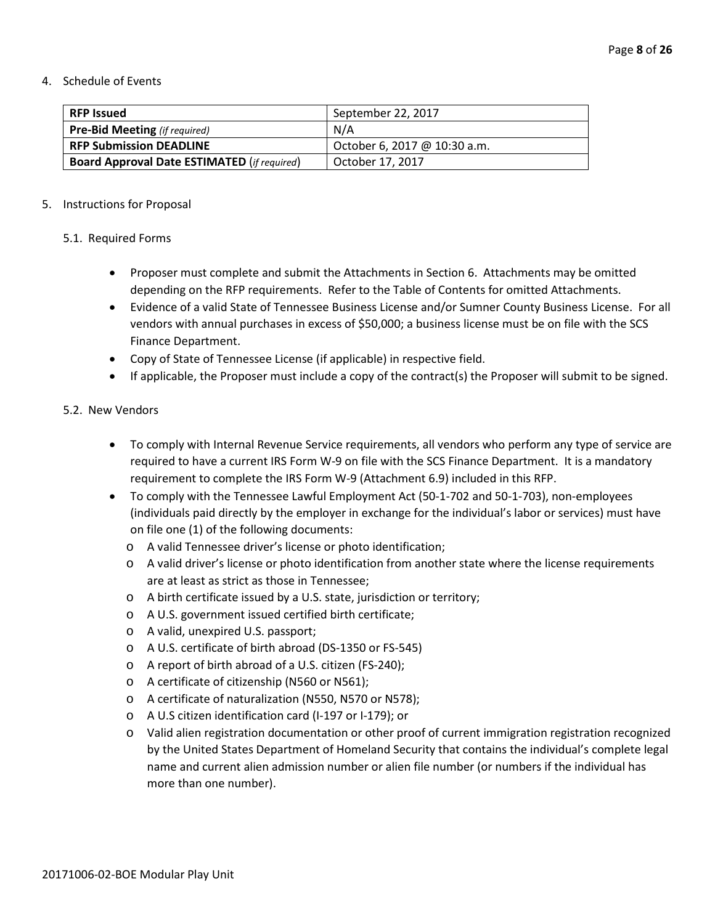#### 4. Schedule of Events

| <b>RFP Issued</b>                                  | September 22, 2017           |
|----------------------------------------------------|------------------------------|
| <b>Pre-Bid Meeting</b> (if required)               | N/A                          |
| <b>RFP Submission DEADLINE</b>                     | October 6, 2017 @ 10:30 a.m. |
| <b>Board Approval Date ESTIMATED (if required)</b> | October 17, 2017             |

#### 5. Instructions for Proposal

#### 5.1. Required Forms

- Proposer must complete and submit the Attachments in Section 6. Attachments may be omitted depending on the RFP requirements. Refer to the Table of Contents for omitted Attachments.
- Evidence of a valid State of Tennessee Business License and/or Sumner County Business License. For all vendors with annual purchases in excess of \$50,000; a business license must be on file with the SCS Finance Department.
- Copy of State of Tennessee License (if applicable) in respective field.
- If applicable, the Proposer must include a copy of the contract(s) the Proposer will submit to be signed.

#### 5.2. New Vendors

- To comply with Internal Revenue Service requirements, all vendors who perform any type of service are required to have a current IRS Form W-9 on file with the SCS Finance Department. It is a mandatory requirement to complete the IRS Form W-9 (Attachment 6.9) included in this RFP.
- To comply with the Tennessee Lawful Employment Act (50-1-702 and 50-1-703), non-employees (individuals paid directly by the employer in exchange for the individual's labor or services) must have on file one (1) of the following documents:
	- o A valid Tennessee driver's license or photo identification;
	- o A valid driver's license or photo identification from another state where the license requirements are at least as strict as those in Tennessee;
	- o A birth certificate issued by a U.S. state, jurisdiction or territory;
	- o A U.S. government issued certified birth certificate;
	- o A valid, unexpired U.S. passport;
	- o A U.S. certificate of birth abroad (DS-1350 or FS-545)
	- o A report of birth abroad of a U.S. citizen (FS-240);
	- o A certificate of citizenship (N560 or N561);
	- o A certificate of naturalization (N550, N570 or N578);
	- o A U.S citizen identification card (I-197 or I-179); or
	- o Valid alien registration documentation or other proof of current immigration registration recognized by the United States Department of Homeland Security that contains the individual's complete legal name and current alien admission number or alien file number (or numbers if the individual has more than one number).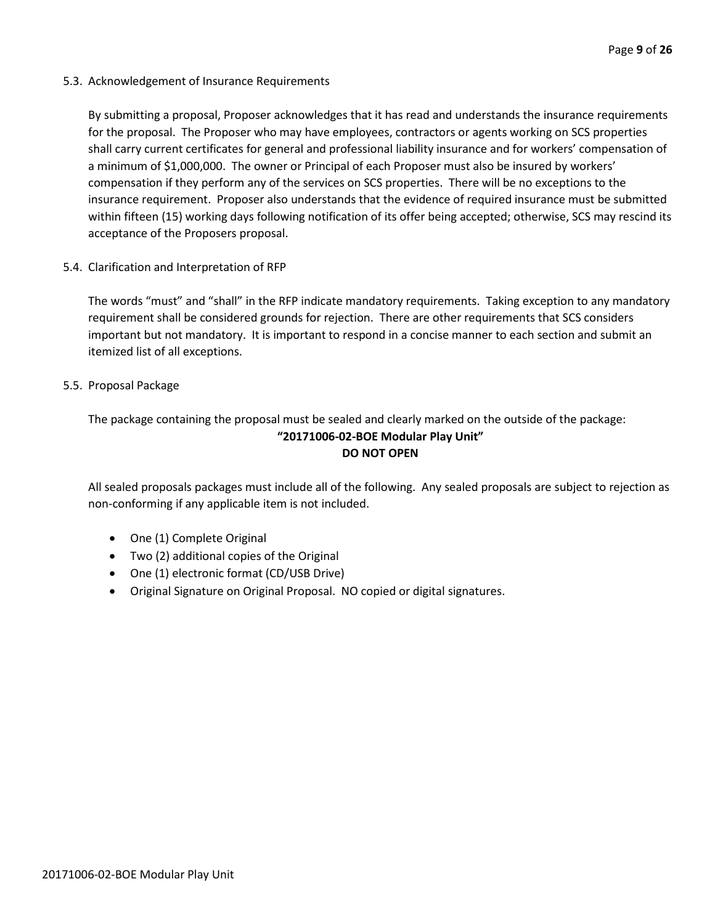5.3. Acknowledgement of Insurance Requirements

By submitting a proposal, Proposer acknowledges that it has read and understands the insurance requirements for the proposal. The Proposer who may have employees, contractors or agents working on SCS properties shall carry current certificates for general and professional liability insurance and for workers' compensation of a minimum of \$1,000,000. The owner or Principal of each Proposer must also be insured by workers' compensation if they perform any of the services on SCS properties. There will be no exceptions to the insurance requirement. Proposer also understands that the evidence of required insurance must be submitted within fifteen (15) working days following notification of its offer being accepted; otherwise, SCS may rescind its acceptance of the Proposers proposal.

5.4. Clarification and Interpretation of RFP

The words "must" and "shall" in the RFP indicate mandatory requirements. Taking exception to any mandatory requirement shall be considered grounds for rejection. There are other requirements that SCS considers important but not mandatory. It is important to respond in a concise manner to each section and submit an itemized list of all exceptions.

#### 5.5. Proposal Package

The package containing the proposal must be sealed and clearly marked on the outside of the package: **"20171006-02-BOE Modular Play Unit" DO NOT OPEN**

All sealed proposals packages must include all of the following. Any sealed proposals are subject to rejection as non-conforming if any applicable item is not included.

- One (1) Complete Original
- Two (2) additional copies of the Original
- One (1) electronic format (CD/USB Drive)
- Original Signature on Original Proposal. NO copied or digital signatures.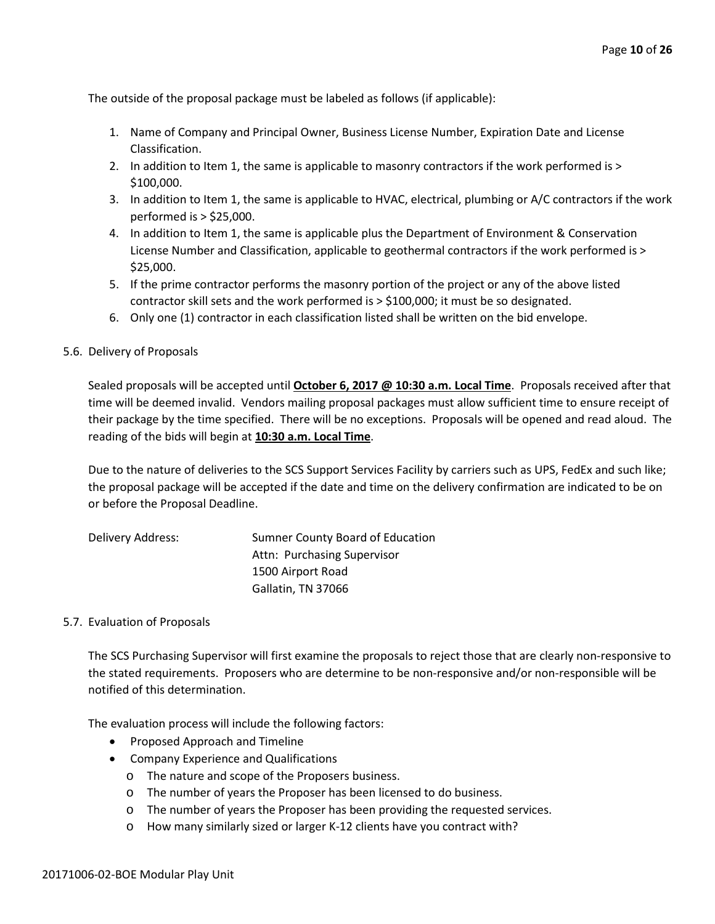The outside of the proposal package must be labeled as follows (if applicable):

- 1. Name of Company and Principal Owner, Business License Number, Expiration Date and License Classification.
- 2. In addition to Item 1, the same is applicable to masonry contractors if the work performed is > \$100,000.
- 3. In addition to Item 1, the same is applicable to HVAC, electrical, plumbing or A/C contractors if the work performed is > \$25,000.
- 4. In addition to Item 1, the same is applicable plus the Department of Environment & Conservation License Number and Classification, applicable to geothermal contractors if the work performed is > \$25,000.
- 5. If the prime contractor performs the masonry portion of the project or any of the above listed contractor skill sets and the work performed is > \$100,000; it must be so designated.
- 6. Only one (1) contractor in each classification listed shall be written on the bid envelope.

#### 5.6. Delivery of Proposals

Sealed proposals will be accepted until **October 6, 2017 @ 10:30 a.m. Local Time**. Proposals received after that time will be deemed invalid. Vendors mailing proposal packages must allow sufficient time to ensure receipt of their package by the time specified. There will be no exceptions. Proposals will be opened and read aloud. The reading of the bids will begin at **10:30 a.m. Local Time**.

Due to the nature of deliveries to the SCS Support Services Facility by carriers such as UPS, FedEx and such like; the proposal package will be accepted if the date and time on the delivery confirmation are indicated to be on or before the Proposal Deadline.

| Delivery Address: | Sumner County Board of Education |
|-------------------|----------------------------------|
|                   | Attn: Purchasing Supervisor      |
|                   | 1500 Airport Road                |
|                   | Gallatin, TN 37066               |

#### 5.7. Evaluation of Proposals

The SCS Purchasing Supervisor will first examine the proposals to reject those that are clearly non-responsive to the stated requirements. Proposers who are determine to be non-responsive and/or non-responsible will be notified of this determination.

The evaluation process will include the following factors:

- Proposed Approach and Timeline
- Company Experience and Qualifications
	- o The nature and scope of the Proposers business.
	- o The number of years the Proposer has been licensed to do business.
	- o The number of years the Proposer has been providing the requested services.
	- o How many similarly sized or larger K-12 clients have you contract with?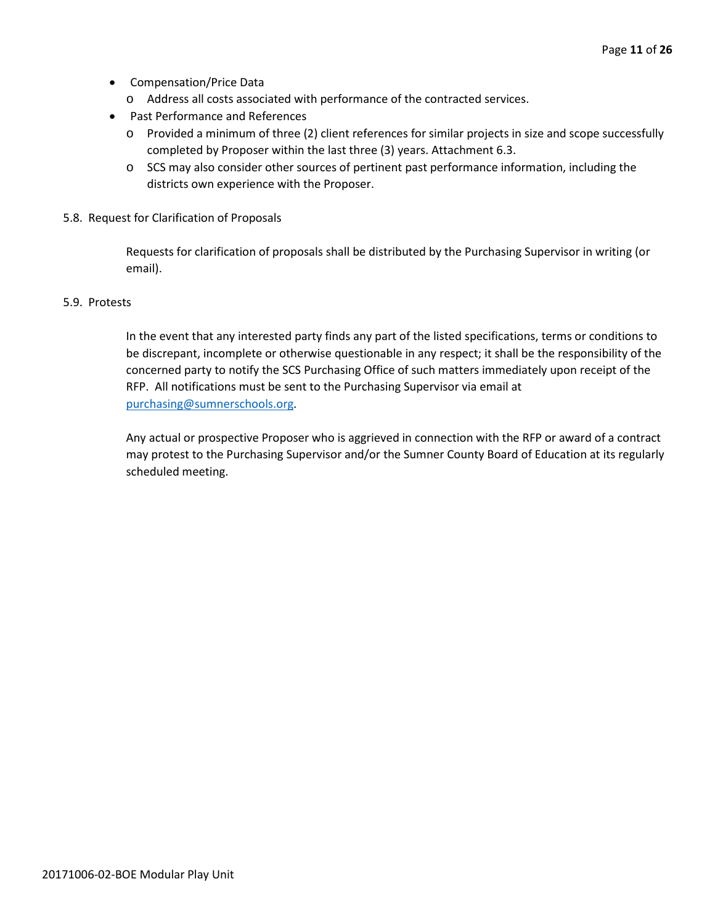- Compensation/Price Data
	- o Address all costs associated with performance of the contracted services.
- Past Performance and References
	- o Provided a minimum of three (2) client references for similar projects in size and scope successfully completed by Proposer within the last three (3) years. Attachment 6.3.
	- o SCS may also consider other sources of pertinent past performance information, including the districts own experience with the Proposer.
- 5.8. Request for Clarification of Proposals

Requests for clarification of proposals shall be distributed by the Purchasing Supervisor in writing (or email).

#### 5.9. Protests

In the event that any interested party finds any part of the listed specifications, terms or conditions to be discrepant, incomplete or otherwise questionable in any respect; it shall be the responsibility of the concerned party to notify the SCS Purchasing Office of such matters immediately upon receipt of the RFP. All notifications must be sent to the Purchasing Supervisor via email at [purchasing@sumnerschools.org.](mailto:purchasing@sumnerschools.org)

Any actual or prospective Proposer who is aggrieved in connection with the RFP or award of a contract may protest to the Purchasing Supervisor and/or the Sumner County Board of Education at its regularly scheduled meeting.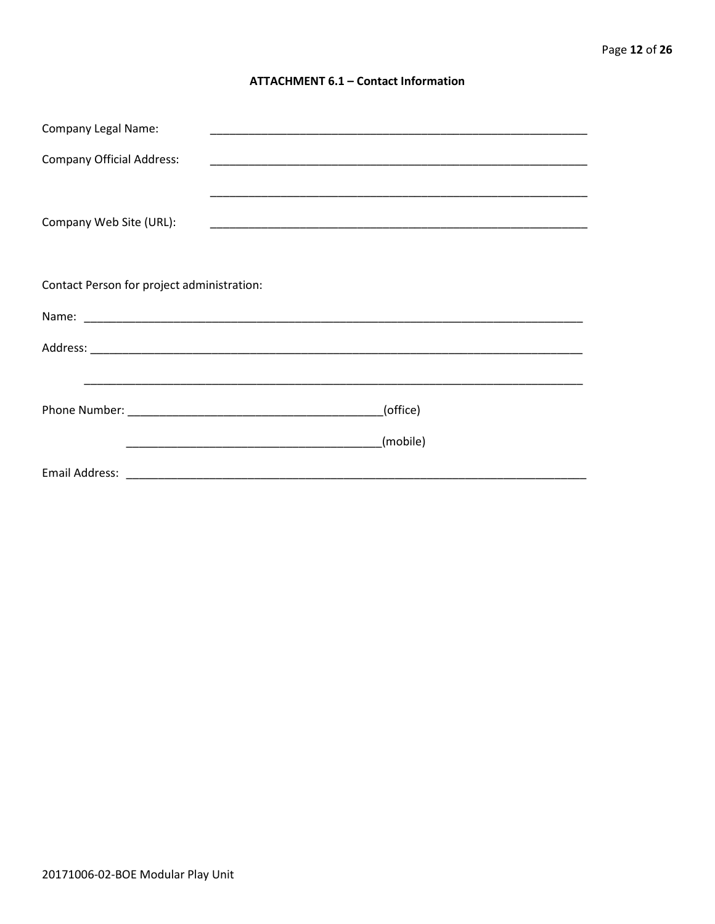#### **ATTACHMENT 6.1 - Contact Information**

| <b>Company Legal Name:</b>                 | <u> 1989 - Johann John Stoff, deutscher Stoffen und der Stoffen und der Stoffen und der Stoffen und der Stoffen</u> |
|--------------------------------------------|---------------------------------------------------------------------------------------------------------------------|
| <b>Company Official Address:</b>           |                                                                                                                     |
|                                            |                                                                                                                     |
| Company Web Site (URL):                    |                                                                                                                     |
|                                            |                                                                                                                     |
|                                            |                                                                                                                     |
| Contact Person for project administration: |                                                                                                                     |
|                                            |                                                                                                                     |
|                                            |                                                                                                                     |
|                                            |                                                                                                                     |
|                                            | (office)                                                                                                            |
|                                            | (mobile)                                                                                                            |
|                                            | Email Address: 2008. 2009. 2009. 2009. 2010. 2010. 2010. 2010. 2010. 2010. 2010. 2010. 2010. 2010. 2010. 2010       |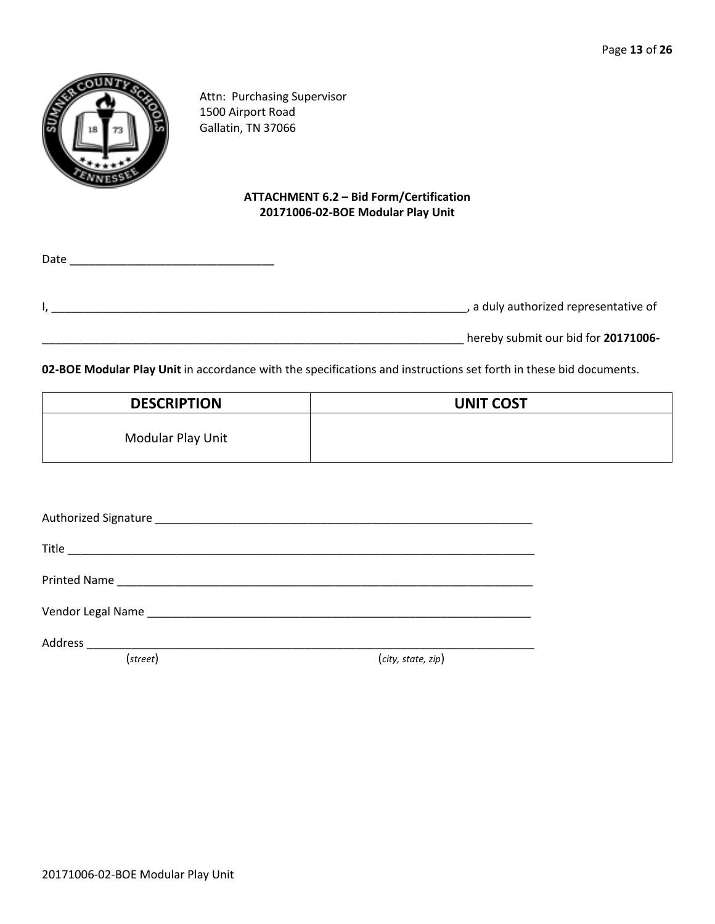

Attn: Purchasing Supervisor 1500 Airport Road Gallatin, TN 37066

#### **ATTACHMENT 6.2 – Bid Form/Certification 20171006-02-BOE Modular Play Unit**

|                                     | Date |
|-------------------------------------|------|
| a duly authorized representative of |      |
| hereby submit our bid for 20171006- |      |

**02-BOE Modular Play Unit** in accordance with the specifications and instructions set forth in these bid documents.

| <b>DESCRIPTION</b> | <b>UNIT COST</b> |
|--------------------|------------------|
| Modular Play Unit  |                  |

| (street) | (city, state, zip) |
|----------|--------------------|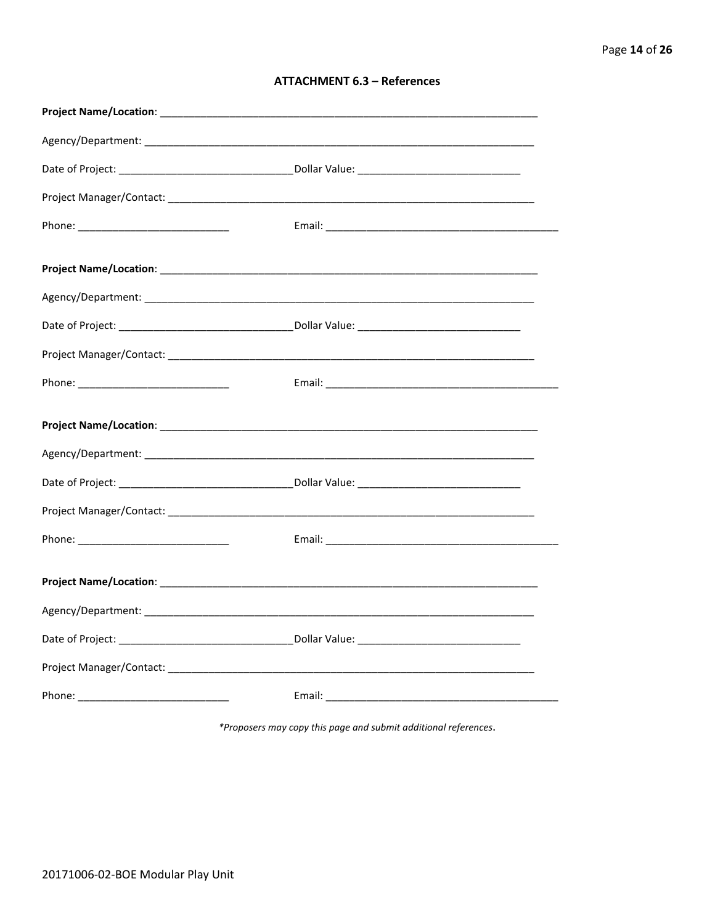| <b>ATTACHMENT 6.3 - References</b> |  |  |
|------------------------------------|--|--|
|------------------------------------|--|--|

\*Proposers may copy this page and submit additional references.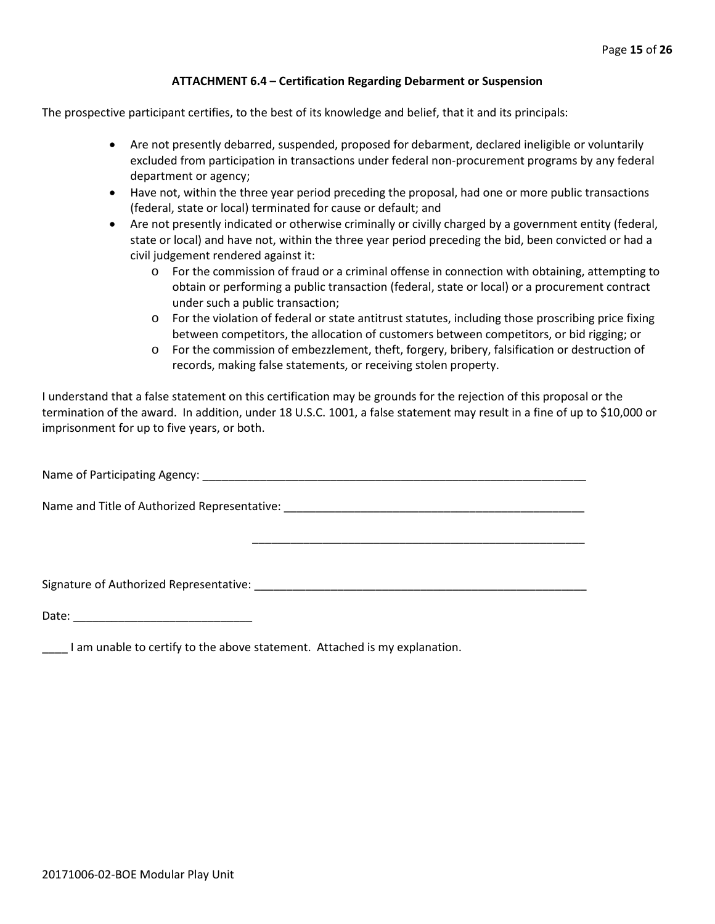#### **ATTACHMENT 6.4 – Certification Regarding Debarment or Suspension**

The prospective participant certifies, to the best of its knowledge and belief, that it and its principals:

- Are not presently debarred, suspended, proposed for debarment, declared ineligible or voluntarily excluded from participation in transactions under federal non-procurement programs by any federal department or agency;
- Have not, within the three year period preceding the proposal, had one or more public transactions (federal, state or local) terminated for cause or default; and
- Are not presently indicated or otherwise criminally or civilly charged by a government entity (federal, state or local) and have not, within the three year period preceding the bid, been convicted or had a civil judgement rendered against it:
	- o For the commission of fraud or a criminal offense in connection with obtaining, attempting to obtain or performing a public transaction (federal, state or local) or a procurement contract under such a public transaction;
	- o For the violation of federal or state antitrust statutes, including those proscribing price fixing between competitors, the allocation of customers between competitors, or bid rigging; or
	- o For the commission of embezzlement, theft, forgery, bribery, falsification or destruction of records, making false statements, or receiving stolen property.

\_\_\_\_\_\_\_\_\_\_\_\_\_\_\_\_\_\_\_\_\_\_\_\_\_\_\_\_\_\_\_\_\_\_\_\_\_\_\_\_\_\_\_\_\_\_\_\_\_\_\_\_

I understand that a false statement on this certification may be grounds for the rejection of this proposal or the termination of the award. In addition, under 18 U.S.C. 1001, a false statement may result in a fine of up to \$10,000 or imprisonment for up to five years, or both.

Name of Participating Agency: \_\_\_\_\_\_\_\_\_\_\_\_\_\_\_\_\_\_\_\_\_\_\_\_\_\_\_\_\_\_\_\_\_\_\_\_\_\_\_\_\_\_\_\_\_\_\_\_\_\_\_\_\_\_\_\_\_\_\_\_

Name and Title of Authorized Representative: \_\_\_\_\_\_\_\_\_\_\_\_\_\_\_\_\_\_\_\_\_\_\_\_\_\_\_\_\_\_\_\_\_\_\_\_\_\_\_\_\_\_\_\_\_\_\_

Signature of Authorized Representative: \_\_\_\_\_\_\_\_\_\_\_\_\_\_\_\_\_\_\_\_\_\_\_\_\_\_\_\_\_\_\_\_\_\_\_\_\_\_\_\_\_\_\_\_\_\_\_\_\_\_\_\_

Date: \_\_\_\_\_\_\_\_\_\_\_\_\_\_\_\_\_\_\_\_\_\_\_\_\_\_\_\_

\_\_\_\_ I am unable to certify to the above statement. Attached is my explanation.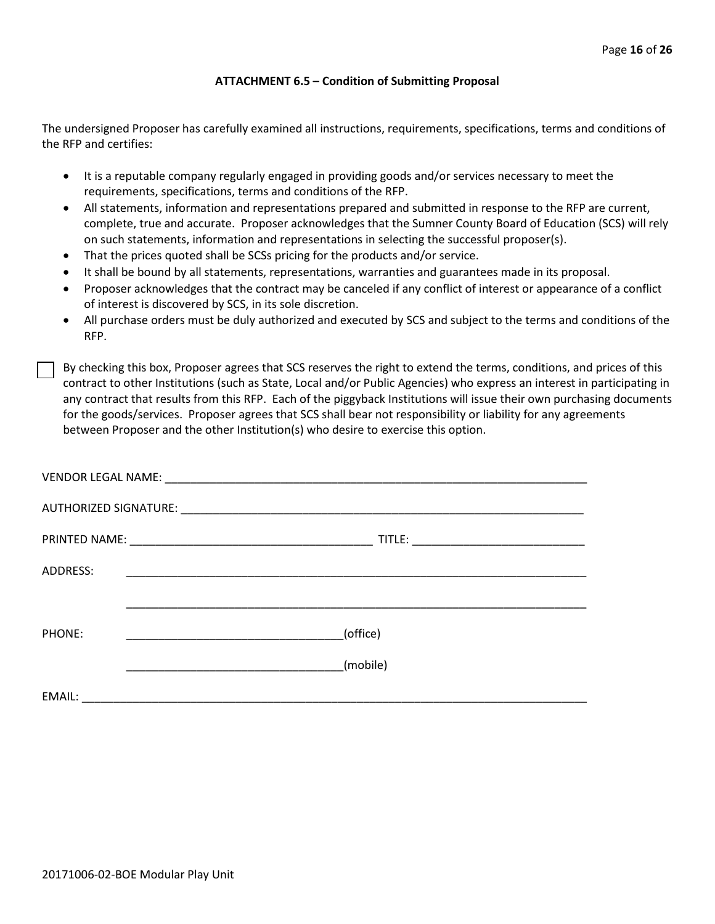#### **ATTACHMENT 6.5 – Condition of Submitting Proposal**

The undersigned Proposer has carefully examined all instructions, requirements, specifications, terms and conditions of the RFP and certifies:

- It is a reputable company regularly engaged in providing goods and/or services necessary to meet the requirements, specifications, terms and conditions of the RFP.
- All statements, information and representations prepared and submitted in response to the RFP are current, complete, true and accurate. Proposer acknowledges that the Sumner County Board of Education (SCS) will rely on such statements, information and representations in selecting the successful proposer(s).
- That the prices quoted shall be SCSs pricing for the products and/or service.
- It shall be bound by all statements, representations, warranties and guarantees made in its proposal.
- Proposer acknowledges that the contract may be canceled if any conflict of interest or appearance of a conflict of interest is discovered by SCS, in its sole discretion.
- All purchase orders must be duly authorized and executed by SCS and subject to the terms and conditions of the RFP.

By checking this box, Proposer agrees that SCS reserves the right to extend the terms, conditions, and prices of this contract to other Institutions (such as State, Local and/or Public Agencies) who express an interest in participating in any contract that results from this RFP. Each of the piggyback Institutions will issue their own purchasing documents for the goods/services. Proposer agrees that SCS shall bear not responsibility or liability for any agreements between Proposer and the other Institution(s) who desire to exercise this option.

| ADDRESS: |                                                           |
|----------|-----------------------------------------------------------|
|          |                                                           |
| PHONE:   | (office)                                                  |
|          | (mobile)                                                  |
| EMAIL:   | <u> 1980 - John Stein, Amerikaansk politiker († 1900)</u> |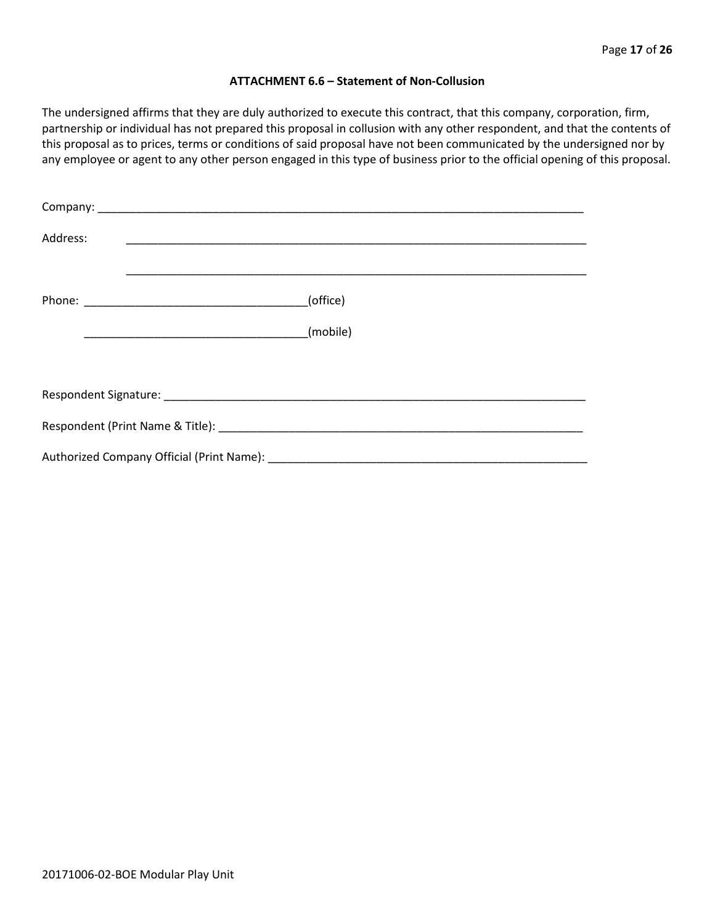#### **ATTACHMENT 6.6 – Statement of Non-Collusion**

The undersigned affirms that they are duly authorized to execute this contract, that this company, corporation, firm, partnership or individual has not prepared this proposal in collusion with any other respondent, and that the contents of this proposal as to prices, terms or conditions of said proposal have not been communicated by the undersigned nor by any employee or agent to any other person engaged in this type of business prior to the official opening of this proposal.

| Address: |  |          |
|----------|--|----------|
|          |  | (office) |
|          |  | (mobile) |
|          |  |          |
|          |  |          |
|          |  |          |
|          |  |          |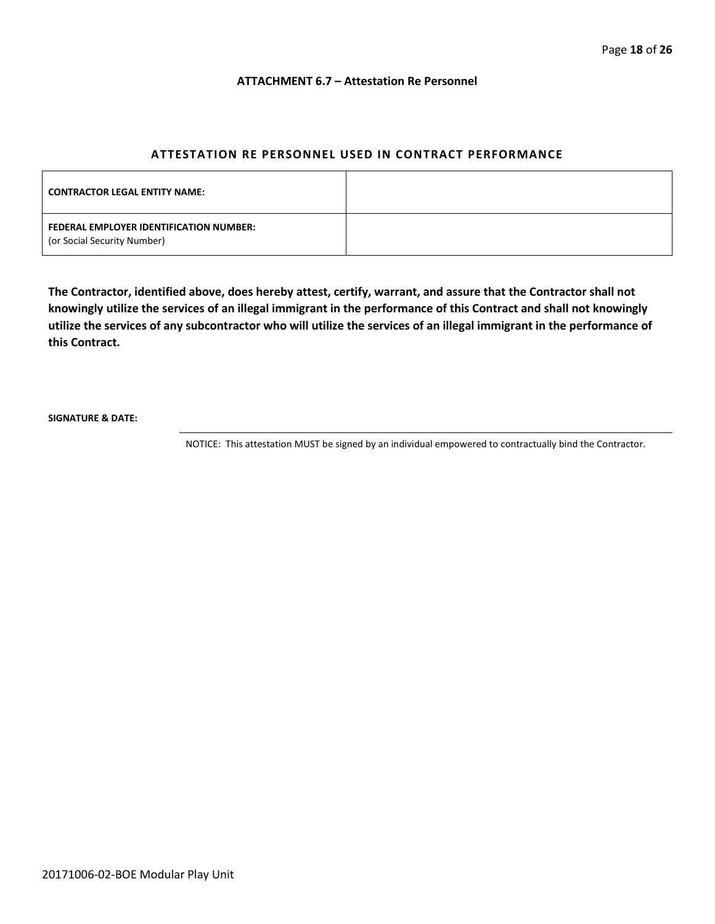#### **ATTACHMENT 6.7 – Attestation Re Personnel**

#### **ATTESTATION RE PERSONNEL USED IN CONTRACT PERFORMANCE**

| <b>CONTRACTOR LEGAL ENTITY NAME:</b>                                   |  |
|------------------------------------------------------------------------|--|
| FEDERAL EMPLOYER IDENTIFICATION NUMBER:<br>(or Social Security Number) |  |

**The Contractor, identified above, does hereby attest, certify, warrant, and assure that the Contractor shall not knowingly utilize the services of an illegal immigrant in the performance of this Contract and shall not knowingly utilize the services of any subcontractor who will utilize the services of an illegal immigrant in the performance of this Contract.**

**SIGNATURE & DATE:**

NOTICE: This attestation MUST be signed by an individual empowered to contractually bind the Contractor.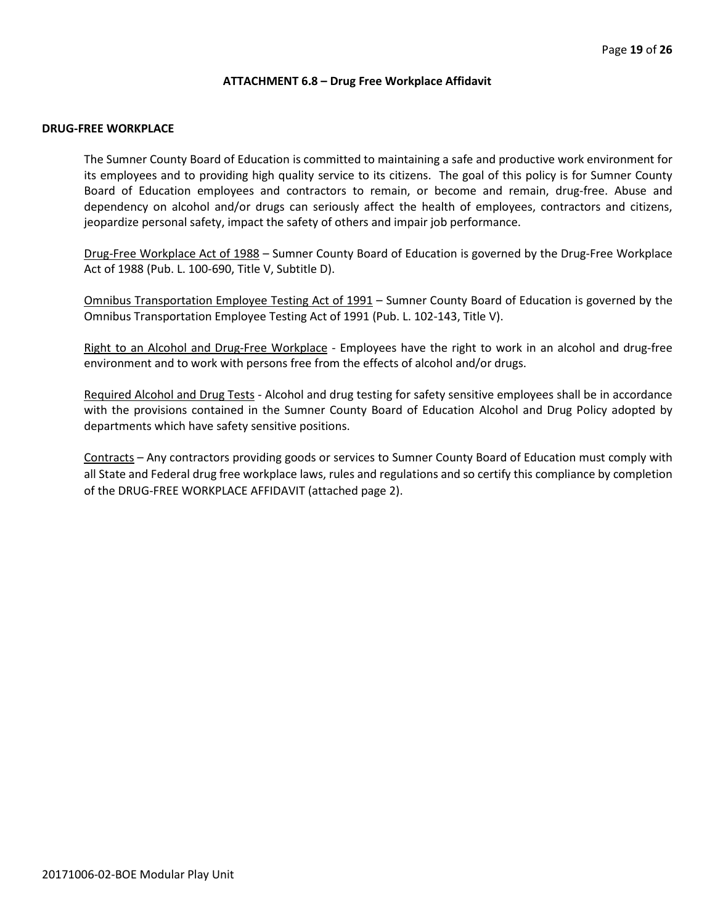#### **ATTACHMENT 6.8 – Drug Free Workplace Affidavit**

#### **DRUG-FREE WORKPLACE**

The Sumner County Board of Education is committed to maintaining a safe and productive work environment for its employees and to providing high quality service to its citizens. The goal of this policy is for Sumner County Board of Education employees and contractors to remain, or become and remain, drug-free. Abuse and dependency on alcohol and/or drugs can seriously affect the health of employees, contractors and citizens, jeopardize personal safety, impact the safety of others and impair job performance.

Drug-Free Workplace Act of 1988 – Sumner County Board of Education is governed by the Drug-Free Workplace Act of 1988 (Pub. L. 100-690, Title V, Subtitle D).

Omnibus Transportation Employee Testing Act of 1991 – Sumner County Board of Education is governed by the Omnibus Transportation Employee Testing Act of 1991 (Pub. L. 102-143, Title V).

Right to an Alcohol and Drug-Free Workplace - Employees have the right to work in an alcohol and drug-free environment and to work with persons free from the effects of alcohol and/or drugs.

Required Alcohol and Drug Tests - Alcohol and drug testing for safety sensitive employees shall be in accordance with the provisions contained in the Sumner County Board of Education Alcohol and Drug Policy adopted by departments which have safety sensitive positions.

Contracts – Any contractors providing goods or services to Sumner County Board of Education must comply with all State and Federal drug free workplace laws, rules and regulations and so certify this compliance by completion of the DRUG-FREE WORKPLACE AFFIDAVIT (attached page 2).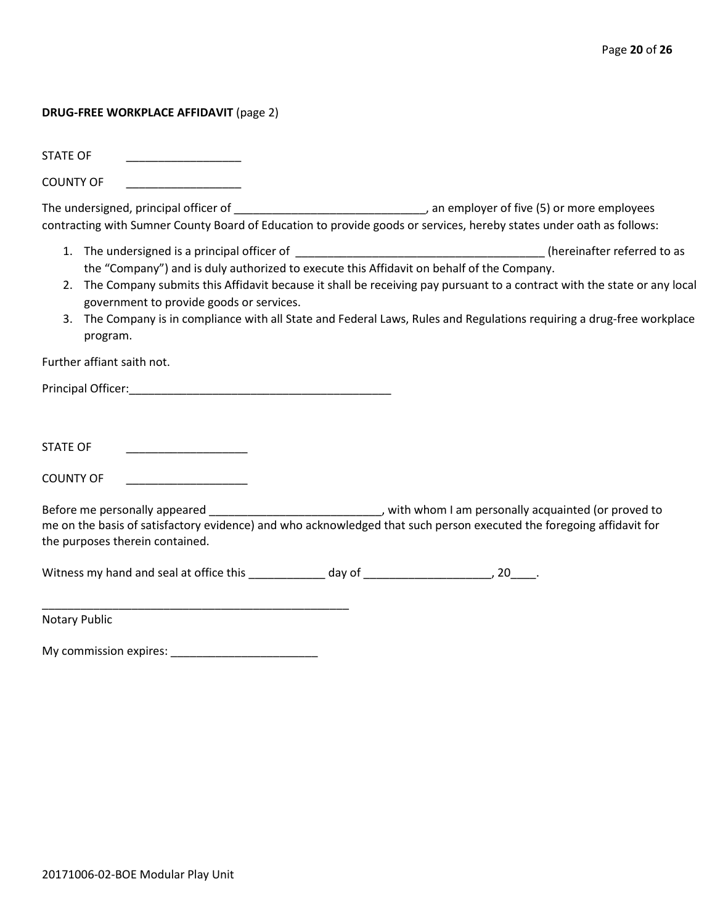#### **DRUG-FREE WORKPLACE AFFIDAVIT** (page 2)

STATE OF

COUNTY OF \_\_\_\_\_\_\_\_\_\_\_\_\_\_\_\_\_\_

The undersigned, principal officer of \_\_\_\_\_\_\_\_\_\_\_\_\_\_\_\_\_\_\_\_\_\_\_\_\_\_\_\_\_\_\_\_\_\_, an employer of five (5) or more employees contracting with Sumner County Board of Education to provide goods or services, hereby states under oath as follows:

- 1. The undersigned is a principal officer of the state of the state of the state of the state of the state of to as the "Company") and is duly authorized to execute this Affidavit on behalf of the Company.
- 2. The Company submits this Affidavit because it shall be receiving pay pursuant to a contract with the state or any local government to provide goods or services.
- 3. The Company is in compliance with all State and Federal Laws, Rules and Regulations requiring a drug-free workplace program.

Further affiant saith not.

Principal Officer:\_\_\_\_\_\_\_\_\_\_\_\_\_\_\_\_\_\_\_\_\_\_\_\_\_\_\_\_\_\_\_\_\_\_\_\_\_\_\_\_\_

STATE OF \_\_\_\_\_\_\_\_\_\_\_\_\_\_\_\_\_\_\_

COUNTY OF

Before me personally appeared \_\_\_\_\_\_\_\_\_\_\_\_\_\_\_\_\_\_\_\_\_\_\_\_\_\_\_\_\_\_, with whom I am personally acquainted (or proved to me on the basis of satisfactory evidence) and who acknowledged that such person executed the foregoing affidavit for the purposes therein contained.

Witness my hand and seal at office this \_\_\_\_\_\_\_\_\_\_\_\_\_ day of \_\_\_\_\_\_\_\_\_\_\_\_\_\_\_\_\_\_\_\_, 20\_\_\_\_.

Notary Public

My commission expires: \_\_\_\_\_\_\_\_\_\_\_\_\_\_\_\_\_\_\_\_\_\_\_

\_\_\_\_\_\_\_\_\_\_\_\_\_\_\_\_\_\_\_\_\_\_\_\_\_\_\_\_\_\_\_\_\_\_\_\_\_\_\_\_\_\_\_\_\_\_\_\_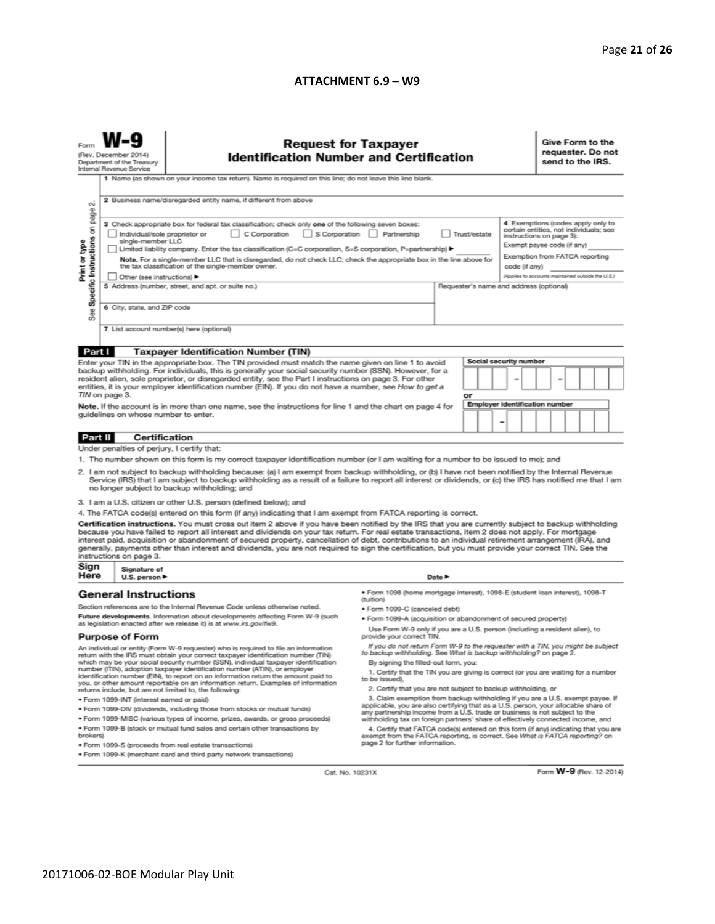#### **ATTACHMENT 6.9 – W9**

| (Rev. December 2014)<br>Department of the Treasury<br>Internal Revenue Service                                                                                                                                                                                                                                                                                                                                                                                                                                                                                                                                                                                                                                                                                              |                                                                                                                                                                                                                                                                                                                                              | <b>Request for Taxpayer</b><br><b>Identification Number and Certification</b><br>1 Name (as shown on your income tax return). Name is required on this line; do not leave this line blank.                                                                                                                                       |                                                                                                                                                                                              |  |  |  |                        |                                                                                                                                    |  | Give Form to the<br>requester. Do not<br>send to the IRS.                   |  |  |  |  |
|-----------------------------------------------------------------------------------------------------------------------------------------------------------------------------------------------------------------------------------------------------------------------------------------------------------------------------------------------------------------------------------------------------------------------------------------------------------------------------------------------------------------------------------------------------------------------------------------------------------------------------------------------------------------------------------------------------------------------------------------------------------------------------|----------------------------------------------------------------------------------------------------------------------------------------------------------------------------------------------------------------------------------------------------------------------------------------------------------------------------------------------|----------------------------------------------------------------------------------------------------------------------------------------------------------------------------------------------------------------------------------------------------------------------------------------------------------------------------------|----------------------------------------------------------------------------------------------------------------------------------------------------------------------------------------------|--|--|--|------------------------|------------------------------------------------------------------------------------------------------------------------------------|--|-----------------------------------------------------------------------------|--|--|--|--|
| N<br>Specific Instructions on page<br>Print or type                                                                                                                                                                                                                                                                                                                                                                                                                                                                                                                                                                                                                                                                                                                         | 2 Business name/disregarded entity name, if different from above<br>3 Check appropriate box for federal tax classification; check only one of the following seven boxes:<br>C Corporation<br>S Corporation Partnership<br>Trust/estate<br>Individual/sole proprietor or<br>instructions on page 3):                                          |                                                                                                                                                                                                                                                                                                                                  |                                                                                                                                                                                              |  |  |  |                        |                                                                                                                                    |  | 4 Exemptions (codes apply only to<br>certain entities, not individuals; see |  |  |  |  |
|                                                                                                                                                                                                                                                                                                                                                                                                                                                                                                                                                                                                                                                                                                                                                                             | single-member LLC<br>Limited liability company. Enter the tax classification (C=C corporation, S=S corporation, P=partnership) ▶<br>Note. For a single-member LLC that is disregarded, do not check LLC; check the appropriate box in the line above for<br>the tax classification of the single-member owner.<br>Other (see instructions) ▶ |                                                                                                                                                                                                                                                                                                                                  |                                                                                                                                                                                              |  |  |  |                        | Exempt payee code (if any)<br>Exemption from FATCA reporting<br>code (if any)<br>(Applies to accounts maintained outside the U.S.) |  |                                                                             |  |  |  |  |
| See                                                                                                                                                                                                                                                                                                                                                                                                                                                                                                                                                                                                                                                                                                                                                                         | 5 Address (number, street, and apt. or suite no.)<br>Requester's name and address (optional)<br>6 City, state, and ZIP code<br>7 List account number(s) here (optional)                                                                                                                                                                      |                                                                                                                                                                                                                                                                                                                                  |                                                                                                                                                                                              |  |  |  |                        |                                                                                                                                    |  |                                                                             |  |  |  |  |
|                                                                                                                                                                                                                                                                                                                                                                                                                                                                                                                                                                                                                                                                                                                                                                             |                                                                                                                                                                                                                                                                                                                                              |                                                                                                                                                                                                                                                                                                                                  |                                                                                                                                                                                              |  |  |  |                        |                                                                                                                                    |  |                                                                             |  |  |  |  |
| Part I                                                                                                                                                                                                                                                                                                                                                                                                                                                                                                                                                                                                                                                                                                                                                                      |                                                                                                                                                                                                                                                                                                                                              | <b>Taxpayer Identification Number (TIN)</b><br>Enter your TIN in the appropriate box. The TIN provided must match the name given on line 1 to avoid                                                                                                                                                                              |                                                                                                                                                                                              |  |  |  | Social security number |                                                                                                                                    |  |                                                                             |  |  |  |  |
|                                                                                                                                                                                                                                                                                                                                                                                                                                                                                                                                                                                                                                                                                                                                                                             |                                                                                                                                                                                                                                                                                                                                              | backup withholding. For individuals, this is generally your social security number (SSN). However, for a<br>resident alien, sole proprietor, or disregarded entity, see the Part I instructions on page 3. For other<br>entities, it is your employer identification number (EIN). If you do not have a number, see How to get a |                                                                                                                                                                                              |  |  |  |                        |                                                                                                                                    |  |                                                                             |  |  |  |  |
| TIN on page 3.<br>Note. If the account is in more than one name, see the instructions for line 1 and the chart on page 4 for<br>guidelines on whose number to enter.                                                                                                                                                                                                                                                                                                                                                                                                                                                                                                                                                                                                        |                                                                                                                                                                                                                                                                                                                                              |                                                                                                                                                                                                                                                                                                                                  | or<br>Employer identification number<br>-                                                                                                                                                    |  |  |  |                        |                                                                                                                                    |  |                                                                             |  |  |  |  |
| <b>Certification</b><br>Part II                                                                                                                                                                                                                                                                                                                                                                                                                                                                                                                                                                                                                                                                                                                                             |                                                                                                                                                                                                                                                                                                                                              |                                                                                                                                                                                                                                                                                                                                  |                                                                                                                                                                                              |  |  |  |                        |                                                                                                                                    |  |                                                                             |  |  |  |  |
| Under penalties of perjury, I certify that:                                                                                                                                                                                                                                                                                                                                                                                                                                                                                                                                                                                                                                                                                                                                 |                                                                                                                                                                                                                                                                                                                                              |                                                                                                                                                                                                                                                                                                                                  |                                                                                                                                                                                              |  |  |  |                        |                                                                                                                                    |  |                                                                             |  |  |  |  |
| 1. The number shown on this form is my correct taxpayer identification number (or I am waiting for a number to be issued to me); and<br>2. I am not subject to backup withholding because: (a) I am exempt from backup withholding, or (b) I have not been notified by the Internal Revenue<br>Service (IRS) that I am subject to backup withholding as a result of a failure to report all interest or dividends, or (c) the IRS has notified me that I am<br>no longer subject to backup withholding; and                                                                                                                                                                                                                                                                 |                                                                                                                                                                                                                                                                                                                                              |                                                                                                                                                                                                                                                                                                                                  |                                                                                                                                                                                              |  |  |  |                        |                                                                                                                                    |  |                                                                             |  |  |  |  |
| 3. I am a U.S. citizen or other U.S. person (defined below); and                                                                                                                                                                                                                                                                                                                                                                                                                                                                                                                                                                                                                                                                                                            |                                                                                                                                                                                                                                                                                                                                              |                                                                                                                                                                                                                                                                                                                                  |                                                                                                                                                                                              |  |  |  |                        |                                                                                                                                    |  |                                                                             |  |  |  |  |
| 4. The FATCA code(s) entered on this form (if any) indicating that I am exempt from FATCA reporting is correct.<br>Certification instructions. You must cross out item 2 above if you have been notified by the IRS that you are currently subject to backup withholding<br>because you have failed to report all interest and dividends on your tax return. For real estate transactions, item 2 does not apply. For mortgage<br>interest paid, acquisition or abandonment of secured property, cancellation of debt, contributions to an individual retirement arrangement (IRA), and<br>generally, payments other than interest and dividends, you are not required to sign the certification, but you must provide your correct TIN. See the<br>instructions on page 3. |                                                                                                                                                                                                                                                                                                                                              |                                                                                                                                                                                                                                                                                                                                  |                                                                                                                                                                                              |  |  |  |                        |                                                                                                                                    |  |                                                                             |  |  |  |  |
| Sign<br>Here                                                                                                                                                                                                                                                                                                                                                                                                                                                                                                                                                                                                                                                                                                                                                                |                                                                                                                                                                                                                                                                                                                                              | Signature of<br>U.S. person ▶<br>Date P                                                                                                                                                                                                                                                                                          |                                                                                                                                                                                              |  |  |  |                        |                                                                                                                                    |  |                                                                             |  |  |  |  |
| <b>General Instructions</b>                                                                                                                                                                                                                                                                                                                                                                                                                                                                                                                                                                                                                                                                                                                                                 |                                                                                                                                                                                                                                                                                                                                              |                                                                                                                                                                                                                                                                                                                                  | · Form 1098 (home mortgage interest), 1098-E (student Ioan interest), 1098-T<br>(tuition)                                                                                                    |  |  |  |                        |                                                                                                                                    |  |                                                                             |  |  |  |  |
| Section references are to the Internal Revenue Code unless otherwise noted.<br>Future developments. Information about developments affecting Form W-9 (such                                                                                                                                                                                                                                                                                                                                                                                                                                                                                                                                                                                                                 |                                                                                                                                                                                                                                                                                                                                              |                                                                                                                                                                                                                                                                                                                                  | • Form 1099-C (canceled debt)                                                                                                                                                                |  |  |  |                        |                                                                                                                                    |  |                                                                             |  |  |  |  |
| as legislation enacted after we release it) is at www.irs.gov/fw9.                                                                                                                                                                                                                                                                                                                                                                                                                                                                                                                                                                                                                                                                                                          |                                                                                                                                                                                                                                                                                                                                              |                                                                                                                                                                                                                                                                                                                                  | . Form 1099-A (acquisition or abandonment of secured property)<br>Use Form W-9 only if you are a U.S. person (including a resident alien), to                                                |  |  |  |                        |                                                                                                                                    |  |                                                                             |  |  |  |  |
| <b>Purpose of Form</b>                                                                                                                                                                                                                                                                                                                                                                                                                                                                                                                                                                                                                                                                                                                                                      |                                                                                                                                                                                                                                                                                                                                              |                                                                                                                                                                                                                                                                                                                                  | provide your correct TIN.                                                                                                                                                                    |  |  |  |                        |                                                                                                                                    |  |                                                                             |  |  |  |  |
|                                                                                                                                                                                                                                                                                                                                                                                                                                                                                                                                                                                                                                                                                                                                                                             |                                                                                                                                                                                                                                                                                                                                              | An individual or entity (Form W-9 requester) who is required to file an information<br>return with the IRS must obtain your correct taxpayer identification number (TIN)<br>which may be your social security number (SSN), individual taxpayer identification                                                                   | If you do not return Form W-9 to the requester with a TIN, you might be subject<br>to backup withholding. See What is backup withholding? on page 2.<br>By signing the filled-out form, you: |  |  |  |                        |                                                                                                                                    |  |                                                                             |  |  |  |  |
|                                                                                                                                                                                                                                                                                                                                                                                                                                                                                                                                                                                                                                                                                                                                                                             | number (ITIN), adoption taxpayer identification number (ATIN), or employer<br>identification number (EIN), to report on an information return the amount paid to<br>you, or other amount reportable on an information return. Examples of information                                                                                        | 1. Certify that the TIN you are giving is correct (or you are waiting for a number<br>to be issued).                                                                                                                                                                                                                             |                                                                                                                                                                                              |  |  |  |                        |                                                                                                                                    |  |                                                                             |  |  |  |  |
|                                                                                                                                                                                                                                                                                                                                                                                                                                                                                                                                                                                                                                                                                                                                                                             |                                                                                                                                                                                                                                                                                                                                              | returns include, but are not limited to, the following:                                                                                                                                                                                                                                                                          | 2. Certify that you are not subject to backup withholding, or                                                                                                                                |  |  |  |                        |                                                                                                                                    |  |                                                                             |  |  |  |  |
|                                                                                                                                                                                                                                                                                                                                                                                                                                                                                                                                                                                                                                                                                                                                                                             | · Form 1099-INT (interest earned or paid)                                                                                                                                                                                                                                                                                                    | . Form 1099-DIV (dividends, including those from stocks or mutual funds)                                                                                                                                                                                                                                                         | 3. Claim exemption from backup withholding if you are a U.S. exempt payee. If<br>applicable, you are also certifying that as a U.S. person, your allocable share of                          |  |  |  |                        |                                                                                                                                    |  |                                                                             |  |  |  |  |
|                                                                                                                                                                                                                                                                                                                                                                                                                                                                                                                                                                                                                                                                                                                                                                             | . Form 1099-MISC (various types of income, prizes, awards, or gross proceeds)                                                                                                                                                                                                                                                                | any partnership income from a U.S. trade or business is not subject to the                                                                                                                                                                                                                                                       |                                                                                                                                                                                              |  |  |  |                        |                                                                                                                                    |  |                                                                             |  |  |  |  |
| brokers)                                                                                                                                                                                                                                                                                                                                                                                                                                                                                                                                                                                                                                                                                                                                                                    | . Form 1099-B (stock or mutual fund sales and certain other transactions by                                                                                                                                                                                                                                                                  | withholding tax on foreign partners' share of effectively connected income, and<br>4. Certify that FATCA code(s) entered on this form (if any) indicating that you are<br>exempt from the FATCA reporting, is correct. See What is FATCA reporting? on<br>page 2 for further information.                                        |                                                                                                                                                                                              |  |  |  |                        |                                                                                                                                    |  |                                                                             |  |  |  |  |
| · Form 1099-S (proceeds from real estate transactions)<br>. Form 1099-K (merchant card and third party network transactions)                                                                                                                                                                                                                                                                                                                                                                                                                                                                                                                                                                                                                                                |                                                                                                                                                                                                                                                                                                                                              |                                                                                                                                                                                                                                                                                                                                  |                                                                                                                                                                                              |  |  |  |                        |                                                                                                                                    |  |                                                                             |  |  |  |  |

Cat. No. 10231X

Form **W-9** (Rev. 12-2014)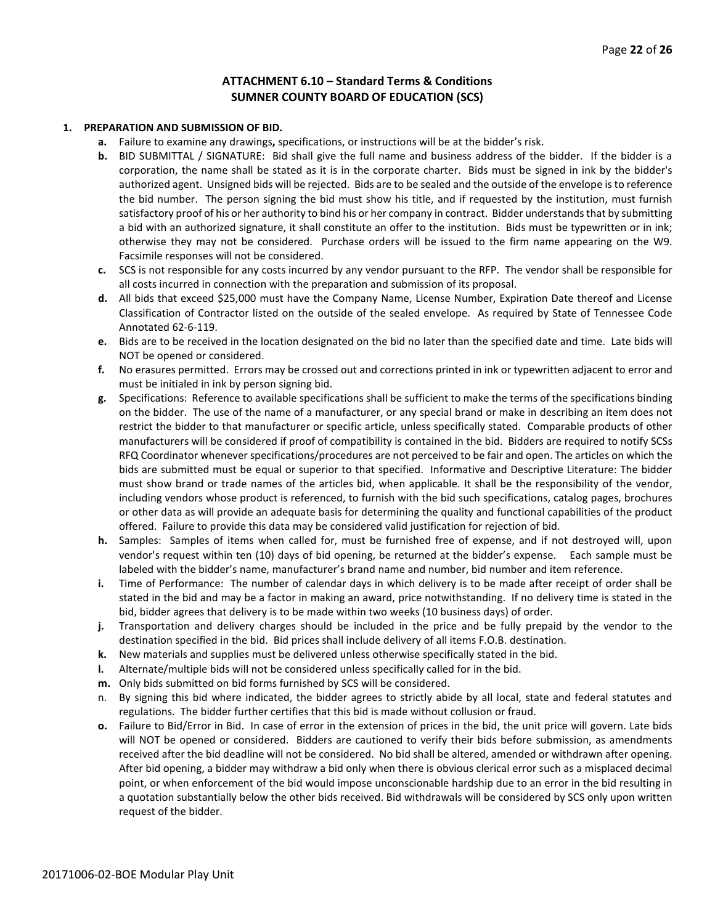#### **ATTACHMENT 6.10 – Standard Terms & Conditions SUMNER COUNTY BOARD OF EDUCATION (SCS)**

#### **1. PREPARATION AND SUBMISSION OF BID.**

- **a.** Failure to examine any drawings**,** specifications, or instructions will be at the bidder's risk.
- **b.** BID SUBMITTAL / SIGNATURE: Bid shall give the full name and business address of the bidder. If the bidder is a corporation, the name shall be stated as it is in the corporate charter. Bids must be signed in ink by the bidder's authorized agent. Unsigned bids will be rejected. Bids are to be sealed and the outside of the envelope is to reference the bid number. The person signing the bid must show his title, and if requested by the institution, must furnish satisfactory proof of his or her authority to bind his or her company in contract. Bidder understands that by submitting a bid with an authorized signature, it shall constitute an offer to the institution. Bids must be typewritten or in ink; otherwise they may not be considered. Purchase orders will be issued to the firm name appearing on the W9. Facsimile responses will not be considered.
- **c.** SCS is not responsible for any costs incurred by any vendor pursuant to the RFP. The vendor shall be responsible for all costs incurred in connection with the preparation and submission of its proposal.
- **d.** All bids that exceed \$25,000 must have the Company Name, License Number, Expiration Date thereof and License Classification of Contractor listed on the outside of the sealed envelope. As required by State of Tennessee Code Annotated 62-6-119.
- **e.** Bids are to be received in the location designated on the bid no later than the specified date and time. Late bids will NOT be opened or considered.
- **f.** No erasures permitted. Errors may be crossed out and corrections printed in ink or typewritten adjacent to error and must be initialed in ink by person signing bid.
- **g.** Specifications: Reference to available specifications shall be sufficient to make the terms of the specifications binding on the bidder. The use of the name of a manufacturer, or any special brand or make in describing an item does not restrict the bidder to that manufacturer or specific article, unless specifically stated. Comparable products of other manufacturers will be considered if proof of compatibility is contained in the bid. Bidders are required to notify SCSs RFQ Coordinator whenever specifications/procedures are not perceived to be fair and open. The articles on which the bids are submitted must be equal or superior to that specified. Informative and Descriptive Literature: The bidder must show brand or trade names of the articles bid, when applicable. It shall be the responsibility of the vendor, including vendors whose product is referenced, to furnish with the bid such specifications, catalog pages, brochures or other data as will provide an adequate basis for determining the quality and functional capabilities of the product offered. Failure to provide this data may be considered valid justification for rejection of bid.
- **h.** Samples: Samples of items when called for, must be furnished free of expense, and if not destroyed will, upon vendor's request within ten (10) days of bid opening, be returned at the bidder's expense. Each sample must be labeled with the bidder's name, manufacturer's brand name and number, bid number and item reference.
- **i.** Time of Performance: The number of calendar days in which delivery is to be made after receipt of order shall be stated in the bid and may be a factor in making an award, price notwithstanding. If no delivery time is stated in the bid, bidder agrees that delivery is to be made within two weeks (10 business days) of order.
- **j.** Transportation and delivery charges should be included in the price and be fully prepaid by the vendor to the destination specified in the bid. Bid prices shall include delivery of all items F.O.B. destination.
- **k.** New materials and supplies must be delivered unless otherwise specifically stated in the bid.
- **l.** Alternate/multiple bids will not be considered unless specifically called for in the bid.
- **m.** Only bids submitted on bid forms furnished by SCS will be considered.
- n. By signing this bid where indicated, the bidder agrees to strictly abide by all local, state and federal statutes and regulations. The bidder further certifies that this bid is made without collusion or fraud.
- **o.** Failure to Bid/Error in Bid. In case of error in the extension of prices in the bid, the unit price will govern. Late bids will NOT be opened or considered. Bidders are cautioned to verify their bids before submission, as amendments received after the bid deadline will not be considered. No bid shall be altered, amended or withdrawn after opening. After bid opening, a bidder may withdraw a bid only when there is obvious clerical error such as a misplaced decimal point, or when enforcement of the bid would impose unconscionable hardship due to an error in the bid resulting in a quotation substantially below the other bids received. Bid withdrawals will be considered by SCS only upon written request of the bidder.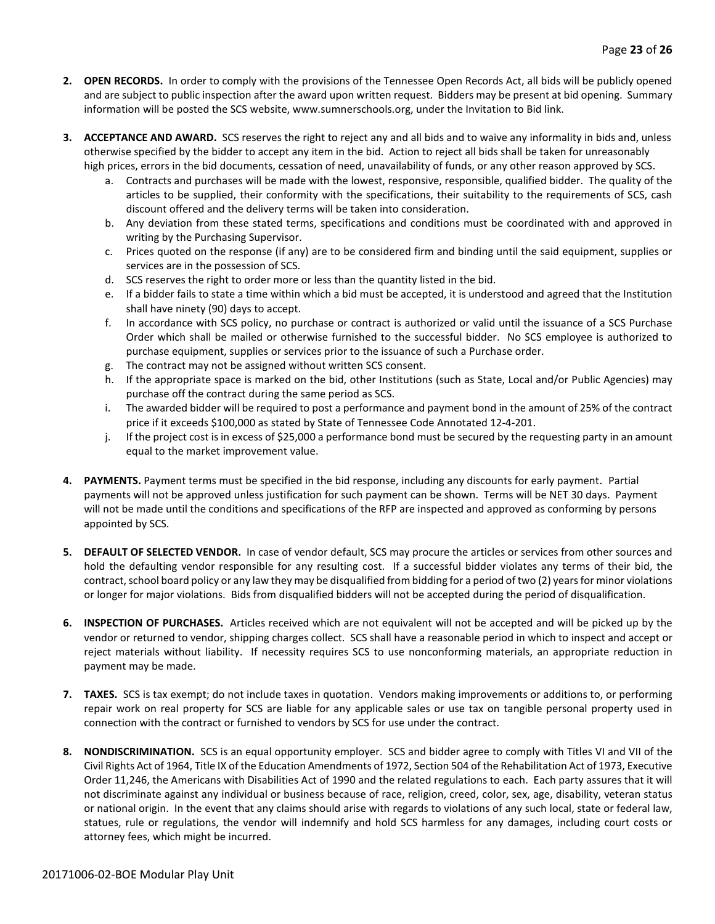- **2. OPEN RECORDS.** In order to comply with the provisions of the Tennessee Open Records Act, all bids will be publicly opened and are subject to public inspection after the award upon written request. Bidders may be present at bid opening. Summary information will be posted the SCS website, www.sumnerschools.org, under the Invitation to Bid link.
- **3. ACCEPTANCE AND AWARD.** SCS reserves the right to reject any and all bids and to waive any informality in bids and, unless otherwise specified by the bidder to accept any item in the bid. Action to reject all bids shall be taken for unreasonably high prices, errors in the bid documents, cessation of need, unavailability of funds, or any other reason approved by SCS.
	- a. Contracts and purchases will be made with the lowest, responsive, responsible, qualified bidder. The quality of the articles to be supplied, their conformity with the specifications, their suitability to the requirements of SCS, cash discount offered and the delivery terms will be taken into consideration.
	- b. Any deviation from these stated terms, specifications and conditions must be coordinated with and approved in writing by the Purchasing Supervisor.
	- c. Prices quoted on the response (if any) are to be considered firm and binding until the said equipment, supplies or services are in the possession of SCS.
	- d. SCS reserves the right to order more or less than the quantity listed in the bid.
	- e. If a bidder fails to state a time within which a bid must be accepted, it is understood and agreed that the Institution shall have ninety (90) days to accept.
	- f. In accordance with SCS policy, no purchase or contract is authorized or valid until the issuance of a SCS Purchase Order which shall be mailed or otherwise furnished to the successful bidder. No SCS employee is authorized to purchase equipment, supplies or services prior to the issuance of such a Purchase order.
	- g. The contract may not be assigned without written SCS consent.
	- h. If the appropriate space is marked on the bid, other Institutions (such as State, Local and/or Public Agencies) may purchase off the contract during the same period as SCS.
	- i. The awarded bidder will be required to post a performance and payment bond in the amount of 25% of the contract price if it exceeds \$100,000 as stated by State of Tennessee Code Annotated 12-4-201.
	- j. If the project cost is in excess of \$25,000 a performance bond must be secured by the requesting party in an amount equal to the market improvement value.
- **4. PAYMENTS.** Payment terms must be specified in the bid response, including any discounts for early payment. Partial payments will not be approved unless justification for such payment can be shown. Terms will be NET 30 days. Payment will not be made until the conditions and specifications of the RFP are inspected and approved as conforming by persons appointed by SCS.
- **5. DEFAULT OF SELECTED VENDOR.** In case of vendor default, SCS may procure the articles or services from other sources and hold the defaulting vendor responsible for any resulting cost. If a successful bidder violates any terms of their bid, the contract, school board policy or any law they may be disqualified from bidding for a period of two (2) years for minor violations or longer for major violations. Bids from disqualified bidders will not be accepted during the period of disqualification.
- **6. INSPECTION OF PURCHASES.** Articles received which are not equivalent will not be accepted and will be picked up by the vendor or returned to vendor, shipping charges collect. SCS shall have a reasonable period in which to inspect and accept or reject materials without liability. If necessity requires SCS to use nonconforming materials, an appropriate reduction in payment may be made.
- **7. TAXES.** SCS is tax exempt; do not include taxes in quotation. Vendors making improvements or additions to, or performing repair work on real property for SCS are liable for any applicable sales or use tax on tangible personal property used in connection with the contract or furnished to vendors by SCS for use under the contract.
- **8. NONDISCRIMINATION.** SCS is an equal opportunity employer. SCS and bidder agree to comply with Titles VI and VII of the Civil Rights Act of 1964, Title IX of the Education Amendments of 1972, Section 504 of the Rehabilitation Act of 1973, Executive Order 11,246, the Americans with Disabilities Act of 1990 and the related regulations to each. Each party assures that it will not discriminate against any individual or business because of race, religion, creed, color, sex, age, disability, veteran status or national origin. In the event that any claims should arise with regards to violations of any such local, state or federal law, statues, rule or regulations, the vendor will indemnify and hold SCS harmless for any damages, including court costs or attorney fees, which might be incurred.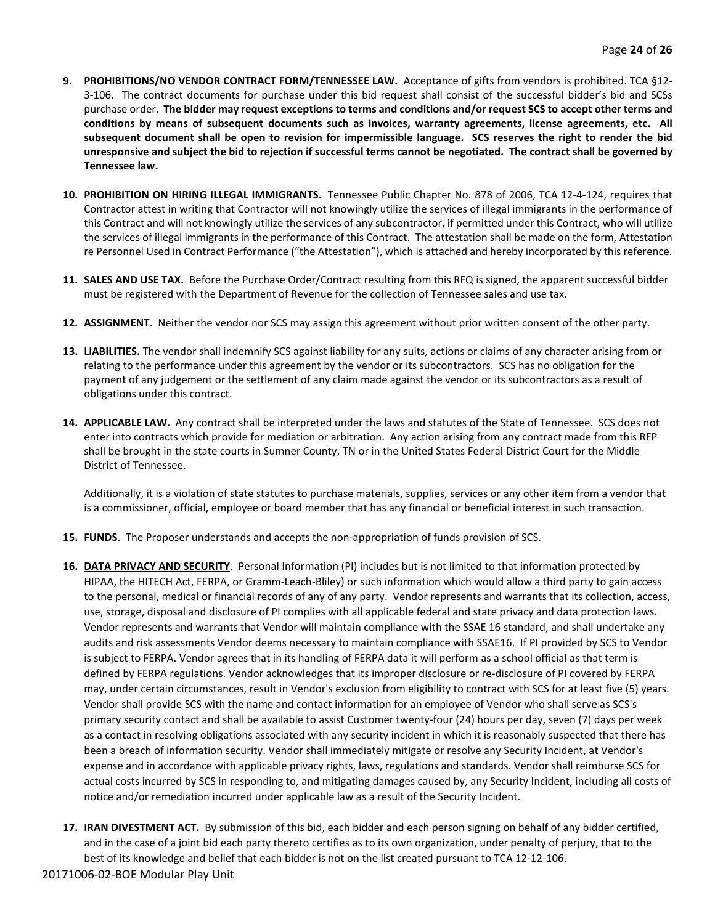- **9. PROHIBITIONS/NO VENDOR CONTRACT FORM/TENNESSEE LAW.** Acceptance of gifts from vendors is prohibited. TCA §12- 3-106. The contract documents for purchase under this bid request shall consist of the successful bidder's bid and SCSs purchase order. **The bidder may request exceptions to terms and conditions and/or request SCS to accept other terms and conditions by means of subsequent documents such as invoices, warranty agreements, license agreements, etc. All subsequent document shall be open to revision for impermissible language. SCS reserves the right to render the bid unresponsive and subject the bid to rejection if successful terms cannot be negotiated. The contract shall be governed by Tennessee law.**
- **10. PROHIBITION ON HIRING ILLEGAL IMMIGRANTS.** Tennessee Public Chapter No. 878 of 2006, TCA 12-4-124, requires that Contractor attest in writing that Contractor will not knowingly utilize the services of illegal immigrants in the performance of this Contract and will not knowingly utilize the services of any subcontractor, if permitted under this Contract, who will utilize the services of illegal immigrants in the performance of this Contract. The attestation shall be made on the form, Attestation re Personnel Used in Contract Performance ("the Attestation"), which is attached and hereby incorporated by this reference.
- **11. SALES AND USE TAX.** Before the Purchase Order/Contract resulting from this RFQ is signed, the apparent successful bidder must be registered with the Department of Revenue for the collection of Tennessee sales and use tax.
- **12. ASSIGNMENT.** Neither the vendor nor SCS may assign this agreement without prior written consent of the other party.
- **13. LIABILITIES.** The vendor shall indemnify SCS against liability for any suits, actions or claims of any character arising from or relating to the performance under this agreement by the vendor or its subcontractors. SCS has no obligation for the payment of any judgement or the settlement of any claim made against the vendor or its subcontractors as a result of obligations under this contract.
- **14. APPLICABLE LAW.** Any contract shall be interpreted under the laws and statutes of the State of Tennessee. SCS does not enter into contracts which provide for mediation or arbitration. Any action arising from any contract made from this RFP shall be brought in the state courts in Sumner County, TN or in the United States Federal District Court for the Middle District of Tennessee.

Additionally, it is a violation of state statutes to purchase materials, supplies, services or any other item from a vendor that is a commissioner, official, employee or board member that has any financial or beneficial interest in such transaction.

- **15. FUNDS**. The Proposer understands and accepts the non-appropriation of funds provision of SCS.
- **16. DATA PRIVACY AND SECURITY**. Personal Information (PI) includes but is not limited to that information protected by HIPAA, the HITECH Act, FERPA, or Gramm-Leach-Bliley) or such information which would allow a third party to gain access to the personal, medical or financial records of any of any party. Vendor represents and warrants that its collection, access, use, storage, disposal and disclosure of PI complies with all applicable federal and state privacy and data protection laws. Vendor represents and warrants that Vendor will maintain compliance with the SSAE 16 standard, and shall undertake any audits and risk assessments Vendor deems necessary to maintain compliance with SSAE16. If PI provided by SCS to Vendor is subject to FERPA. Vendor agrees that in its handling of FERPA data it will perform as a school official as that term is defined by FERPA regulations. Vendor acknowledges that its improper disclosure or re-disclosure of PI covered by FERPA may, under certain circumstances, result in Vendor's exclusion from eligibility to contract with SCS for at least five (5) years. Vendor shall provide SCS with the name and contact information for an employee of Vendor who shall serve as SCS's primary security contact and shall be available to assist Customer twenty-four (24) hours per day, seven (7) days per week as a contact in resolving obligations associated with any security incident in which it is reasonably suspected that there has been a breach of information security. Vendor shall immediately mitigate or resolve any Security Incident, at Vendor's expense and in accordance with applicable privacy rights, laws, regulations and standards. Vendor shall reimburse SCS for actual costs incurred by SCS in responding to, and mitigating damages caused by, any Security Incident, including all costs of notice and/or remediation incurred under applicable law as a result of the Security Incident.
- **17. IRAN DIVESTMENT ACT.** By submission of this bid, each bidder and each person signing on behalf of any bidder certified, and in the case of a joint bid each party thereto certifies as to its own organization, under penalty of perjury, that to the best of its knowledge and belief that each bidder is not on the list created pursuant to TCA 12-12-106.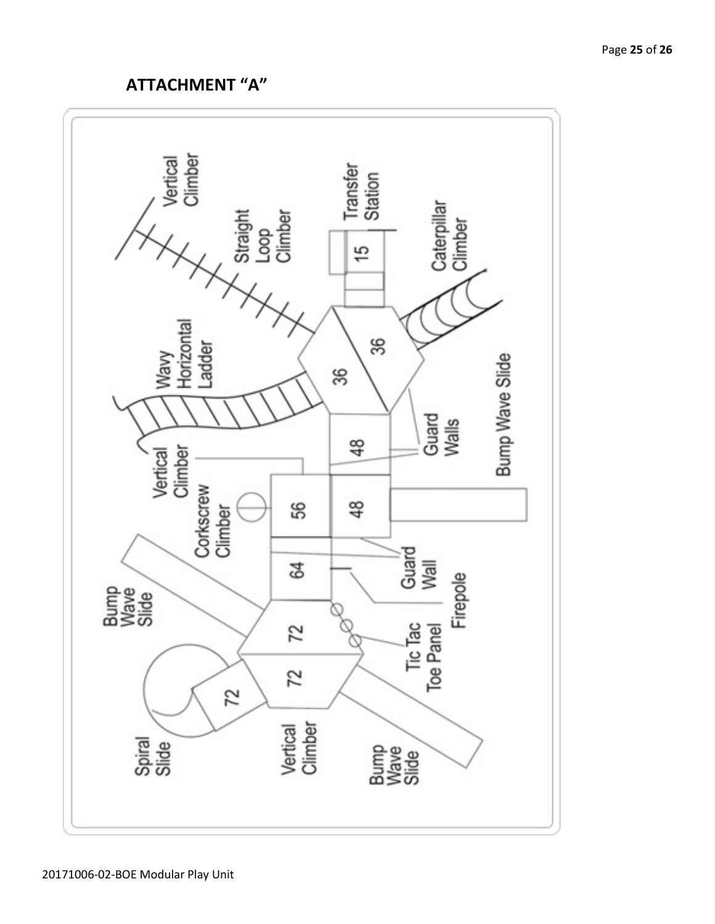